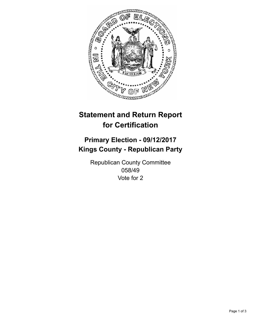

## **Statement and Return Report for Certification**

## **Primary Election - 09/12/2017 Kings County - Republican Party**

Republican County Committee 058/49 Vote for 2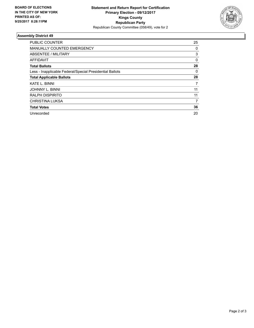

## **Assembly District 49**

| <b>PUBLIC COUNTER</b>                                    | 25       |
|----------------------------------------------------------|----------|
| <b>MANUALLY COUNTED EMERGENCY</b>                        | 0        |
| ABSENTEE / MILITARY                                      | 3        |
| AFFIDAVIT                                                | $\Omega$ |
| <b>Total Ballots</b>                                     | 28       |
| Less - Inapplicable Federal/Special Presidential Ballots | 0        |
| <b>Total Applicable Ballots</b>                          | 28       |
| <b>KATE L. BINNI</b>                                     | 7        |
| <b>JOHNNY L. BINNI</b>                                   | 11       |
| <b>RALPH DISPIRITO</b>                                   | 11       |
| <b>CHRISTINA LUKSA</b>                                   | 7        |
| <b>Total Votes</b>                                       | 36       |
| Unrecorded                                               | 20       |